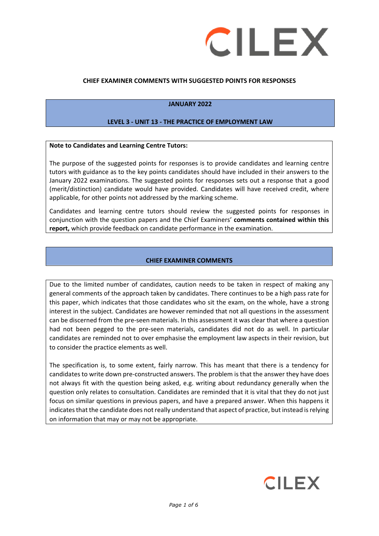

### **CHIEF EXAMINER COMMENTS WITH SUGGESTED POINTS FOR RESPONSES**

### **JANUARY 2022**

#### **LEVEL 3 - UNIT 13 - THE PRACTICE OF EMPLOYMENT LAW**

#### **Note to Candidates and Learning Centre Tutors:**

The purpose of the suggested points for responses is to provide candidates and learning centre tutors with guidance as to the key points candidates should have included in their answers to the January 2022 examinations. The suggested points for responses sets out a response that a good (merit/distinction) candidate would have provided. Candidates will have received credit, where applicable, for other points not addressed by the marking scheme.

Candidates and learning centre tutors should review the suggested points for responses in conjunction with the question papers and the Chief Examiners' **comments contained within this report,** which provide feedback on candidate performance in the examination.

### **CHIEF EXAMINER COMMENTS**

Due to the limited number of candidates, caution needs to be taken in respect of making any general comments of the approach taken by candidates. There continues to be a high pass rate for this paper, which indicates that those candidates who sit the exam, on the whole, have a strong interest in the subject. Candidates are however reminded that not all questions in the assessment can be discerned from the pre-seen materials. In this assessment it was clear that where a question had not been pegged to the pre-seen materials, candidates did not do as well. In particular candidates are reminded not to over emphasise the employment law aspects in their revision, but to consider the practice elements as well.

The specification is, to some extent, fairly narrow. This has meant that there is a tendency for candidates to write down pre-constructed answers. The problem is that the answer they have does not always fit with the question being asked, e.g. writing about redundancy generally when the question only relates to consultation. Candidates are reminded that it is vital that they do not just focus on similar questions in previous papers, and have a prepared answer. When this happens it indicates that the candidate does not really understand that aspect of practice, but instead is relying on information that may or may not be appropriate.

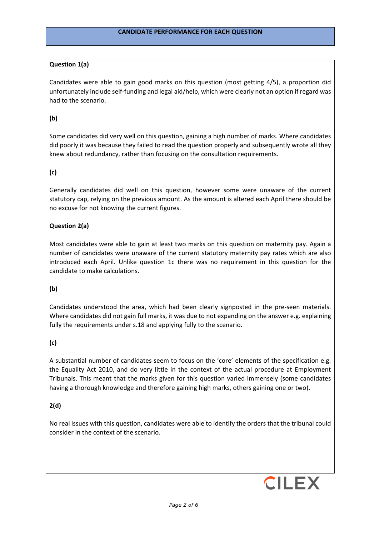### **Question 1(a)**

Candidates were able to gain good marks on this question (most getting 4/5), a proportion did unfortunately include self-funding and legal aid/help, which were clearly not an option if regard was had to the scenario.

### **(b)**

Some candidates did very well on this question, gaining a high number of marks. Where candidates did poorly it was because they failed to read the question properly and subsequently wrote all they knew about redundancy, rather than focusing on the consultation requirements.

### **(c)**

Generally candidates did well on this question, however some were unaware of the current statutory cap, relying on the previous amount. As the amount is altered each April there should be no excuse for not knowing the current figures.

### **Question 2(a)**

Most candidates were able to gain at least two marks on this question on maternity pay. Again a number of candidates were unaware of the current statutory maternity pay rates which are also introduced each April. Unlike question 1c there was no requirement in this question for the candidate to make calculations.

#### **(b)**

Candidates understood the area, which had been clearly signposted in the pre-seen materials. Where candidates did not gain full marks, it was due to not expanding on the answer e.g. explaining fully the requirements under s.18 and applying fully to the scenario.

### **(c)**

A substantial number of candidates seem to focus on the 'core' elements of the specification e.g. the Equality Act 2010, and do very little in the context of the actual procedure at Employment Tribunals. This meant that the marks given for this question varied immensely (some candidates having a thorough knowledge and therefore gaining high marks, others gaining one or two).

### **2(d)**

No real issues with this question, candidates were able to identify the orders that the tribunal could consider in the context of the scenario.

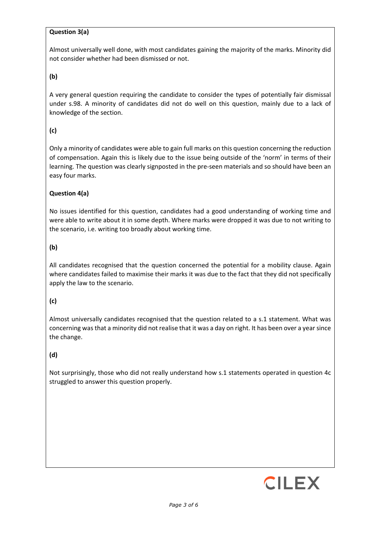## **Question 3(a)**

Almost universally well done, with most candidates gaining the majority of the marks. Minority did not consider whether had been dismissed or not.

## **(b)**

A very general question requiring the candidate to consider the types of potentially fair dismissal under s.98. A minority of candidates did not do well on this question, mainly due to a lack of knowledge of the section.

# **(c)**

Only a minority of candidates were able to gain full marks on this question concerning the reduction of compensation. Again this is likely due to the issue being outside of the 'norm' in terms of their learning. The question was clearly signposted in the pre-seen materials and so should have been an easy four marks.

## **Question 4(a)**

No issues identified for this question, candidates had a good understanding of working time and were able to write about it in some depth. Where marks were dropped it was due to not writing to the scenario, i.e. writing too broadly about working time.

## **(b)**

All candidates recognised that the question concerned the potential for a mobility clause. Again where candidates failed to maximise their marks it was due to the fact that they did not specifically apply the law to the scenario.

# **(c)**

Almost universally candidates recognised that the question related to a s.1 statement. What was concerning was that a minority did not realise that it was a day on right. It has been over a year since the change.

# **(d)**

Not surprisingly, those who did not really understand how s.1 statements operated in question 4c struggled to answer this question properly.

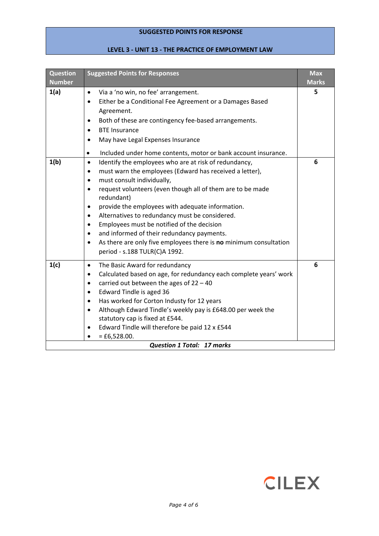## **SUGGESTED POINTS FOR RESPONSE**

# **LEVEL 3 - UNIT 13 - THE PRACTICE OF EMPLOYMENT LAW**

| <b>Question</b><br><b>Number</b>  | <b>Suggested Points for Responses</b>                                                                                                                                                                                                                                                                                                                                                                                                                                                                                                                                                                                                                   | <b>Max</b><br><b>Marks</b> |  |
|-----------------------------------|---------------------------------------------------------------------------------------------------------------------------------------------------------------------------------------------------------------------------------------------------------------------------------------------------------------------------------------------------------------------------------------------------------------------------------------------------------------------------------------------------------------------------------------------------------------------------------------------------------------------------------------------------------|----------------------------|--|
| 1(a)                              | Via a 'no win, no fee' arrangement.<br>$\bullet$<br>Either be a Conditional Fee Agreement or a Damages Based<br>$\bullet$<br>Agreement.<br>Both of these are contingency fee-based arrangements.<br>$\bullet$<br><b>BTE Insurance</b><br>$\bullet$<br>May have Legal Expenses Insurance<br>$\bullet$<br>Included under home contents, motor or bank account insurance.<br>$\bullet$                                                                                                                                                                                                                                                                     | 5                          |  |
| 1(b)                              | Identify the employees who are at risk of redundancy,<br>$\bullet$<br>must warn the employees (Edward has received a letter),<br>$\bullet$<br>must consult individually,<br>$\bullet$<br>request volunteers (even though all of them are to be made<br>$\bullet$<br>redundant)<br>provide the employees with adequate information.<br>$\bullet$<br>Alternatives to redundancy must be considered.<br>$\bullet$<br>Employees must be notified of the decision<br>$\bullet$<br>and informed of their redundancy payments.<br>$\bullet$<br>As there are only five employees there is no minimum consultation<br>$\bullet$<br>period - s.188 TULR(C)A 1992. | 6                          |  |
| 1(c)                              | The Basic Award for redundancy<br>$\bullet$<br>Calculated based on age, for redundancy each complete years' work<br>$\bullet$<br>carried out between the ages of $22 - 40$<br>$\bullet$<br>Edward Tindle is aged 36<br>$\bullet$<br>Has worked for Corton Industy for 12 years<br>$\bullet$<br>Although Edward Tindle's weekly pay is £648.00 per week the<br>$\bullet$<br>statutory cap is fixed at £544.<br>Edward Tindle will therefore be paid 12 x £544<br>$=$ £6,528.00.                                                                                                                                                                          | 6                          |  |
| <b>Question 1 Total: 17 marks</b> |                                                                                                                                                                                                                                                                                                                                                                                                                                                                                                                                                                                                                                                         |                            |  |

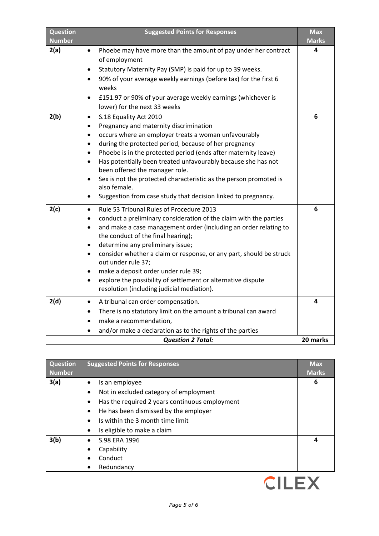| <b>Question</b><br><b>Number</b> | <b>Suggested Points for Responses</b>                                                                                                                                                                                                                                                                                                                                                                                                                                                                                                                                                                                | <b>Max</b><br><b>Marks</b> |
|----------------------------------|----------------------------------------------------------------------------------------------------------------------------------------------------------------------------------------------------------------------------------------------------------------------------------------------------------------------------------------------------------------------------------------------------------------------------------------------------------------------------------------------------------------------------------------------------------------------------------------------------------------------|----------------------------|
| 2(a)                             | Phoebe may have more than the amount of pay under her contract<br>$\bullet$<br>of employment<br>Statutory Maternity Pay (SMP) is paid for up to 39 weeks.<br>$\bullet$<br>90% of your average weekly earnings (before tax) for the first 6<br>$\bullet$<br>weeks<br>£151.97 or 90% of your average weekly earnings (whichever is<br>$\bullet$<br>lower) for the next 33 weeks                                                                                                                                                                                                                                        | 4                          |
| 2(b)                             | S.18 Equality Act 2010<br>$\bullet$<br>Pregnancy and maternity discrimination<br>$\bullet$<br>occurs where an employer treats a woman unfavourably<br>$\bullet$<br>during the protected period, because of her pregnancy<br>$\bullet$<br>Phoebe is in the protected period (ends after maternity leave)<br>$\bullet$<br>Has potentially been treated unfavourably because she has not<br>$\bullet$<br>been offered the manager role.<br>Sex is not the protected characteristic as the person promoted is<br>$\bullet$<br>also female.<br>Suggestion from case study that decision linked to pregnancy.<br>$\bullet$ | 6                          |
| 2(c)                             | Rule 53 Tribunal Rules of Procedure 2013<br>$\bullet$<br>conduct a preliminary consideration of the claim with the parties<br>$\bullet$<br>and make a case management order (including an order relating to<br>$\bullet$<br>the conduct of the final hearing);<br>determine any preliminary issue;<br>$\bullet$<br>consider whether a claim or response, or any part, should be struck<br>$\bullet$<br>out under rule 37;<br>make a deposit order under rule 39;<br>$\bullet$<br>explore the possibility of settlement or alternative dispute<br>$\bullet$<br>resolution (including judicial mediation).             | 6                          |
| 2(d)                             | A tribunal can order compensation.<br>$\bullet$<br>There is no statutory limit on the amount a tribunal can award<br>$\bullet$<br>make a recommendation,<br>$\bullet$<br>and/or make a declaration as to the rights of the parties<br>$\bullet$<br><b>Question 2 Total:</b>                                                                                                                                                                                                                                                                                                                                          | 4<br>20 marks              |

| <b>Question</b> | <b>Suggested Points for Responses</b>          | <b>Max</b>   |
|-----------------|------------------------------------------------|--------------|
| <b>Number</b>   |                                                | <b>Marks</b> |
| 3(a)            | Is an employee                                 | 6            |
|                 | Not in excluded category of employment         |              |
|                 | Has the required 2 years continuous employment |              |
|                 | He has been dismissed by the employer          |              |
|                 | Is within the 3 month time limit               |              |
|                 | Is eligible to make a claim                    |              |
| 3(b)            | S.98 ERA 1996<br>$\bullet$                     | 4            |
|                 | Capability                                     |              |
|                 | Conduct                                        |              |
|                 | Redundancy                                     |              |